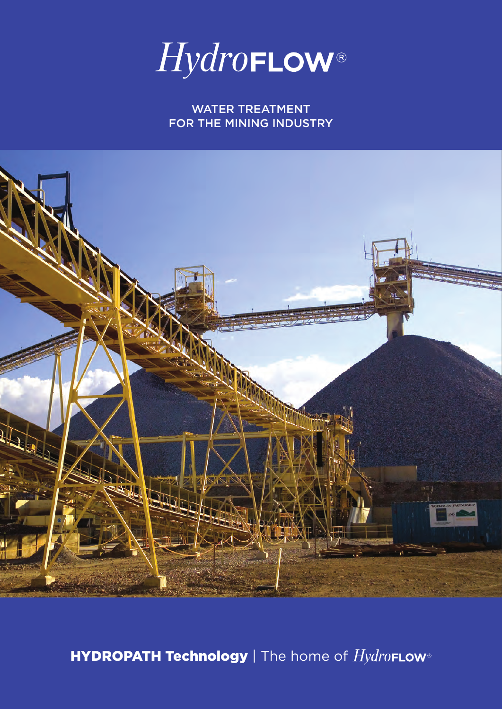

WATER TREATMENT FOR THE MINING INDUSTRY



**HYDROPATH Technology** | The home of  $Hydro$ FLOW®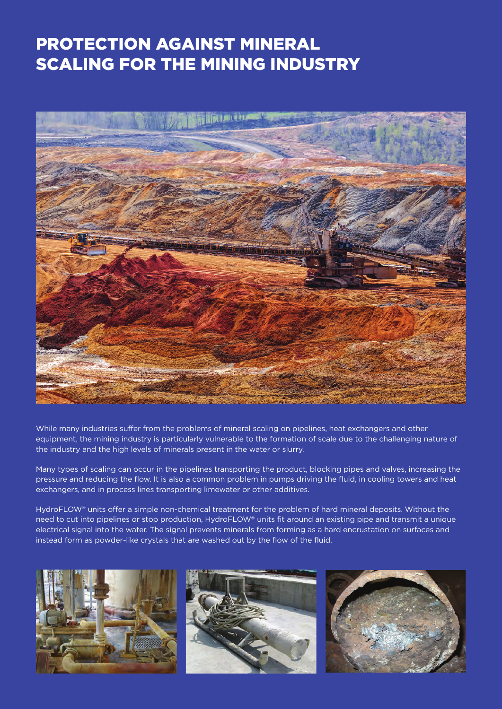## PROTECTION AGAINST MINERAL SCALING FOR THE MINING INDUSTRY



While many industries suffer from the problems of mineral scaling on pipelines, heat exchangers and other equipment, the mining industry is particularly vulnerable to the formation of scale due to the challenging nature of the industry and the high levels of minerals present in the water or slurry.

Many types of scaling can occur in the pipelines transporting the product, blocking pipes and valves, increasing the pressure and reducing the flow. It is also a common problem in pumps driving the fluid, in cooling towers and heat exchangers, and in process lines transporting limewater or other additives.

HydroFLOW® units offer a simple non-chemical treatment for the problem of hard mineral deposits. Without the need to cut into pipelines or stop production, HydroFLOW® units fit around an existing pipe and transmit a unique electrical signal into the water. The signal prevents minerals from forming as a hard encrustation on surfaces and instead form as powder-like crystals that are washed out by the flow of the fluid.

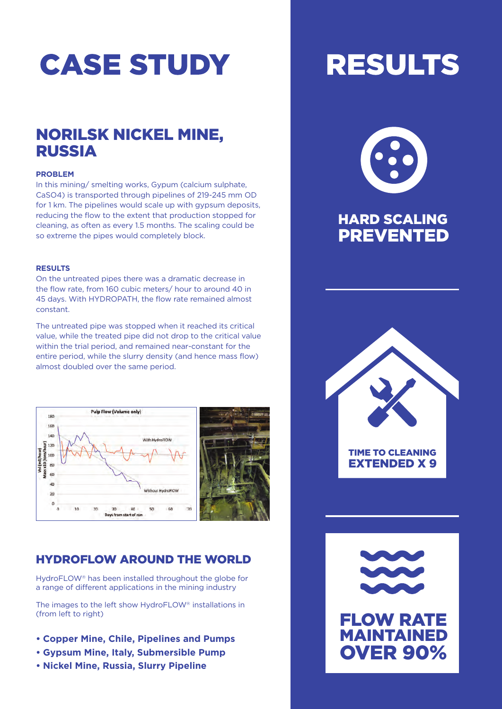# **CASE STUDY**

## NORILSK NICKEL MINE, RUSSIA

#### **PROBLEM**

In this mining/ smelting works, Gypum (calcium sulphate, CaSO4) is transported through pipelines of 219-245 mm OD for 1 km. The pipelines would scale up with gypsum deposits, reducing the flow to the extent that production stopped for cleaning, as often as every 1.5 months. The scaling could be so extreme the pipes would completely block.

#### **RESULTS**

On the untreated pipes there was a dramatic decrease in the flow rate, from 160 cubic meters/ hour to around 40 in 45 days. With HYDROPATH, the flow rate remained almost constant.

The untreated pipe was stopped when it reached its critical value, while the treated pipe did not drop to the critical value within the trial period, and remained near-constant for the entire period, while the slurry density (and hence mass flow) almost doubled over the same period.



### HYDROFLOW AROUND THE WORLD

HydroFLOW® has been installed throughout the globe for a range of different applications in the mining industry

The images to the left show HydroFLOW® installations in (from left to right)

- **• Copper Mine, Chile, Pipelines and Pumps**
- **• Gypsum Mine, Italy, Submersible Pump**
- **• Nickel Mine, Russia, Slurry Pipeline**

# **RESULTS**